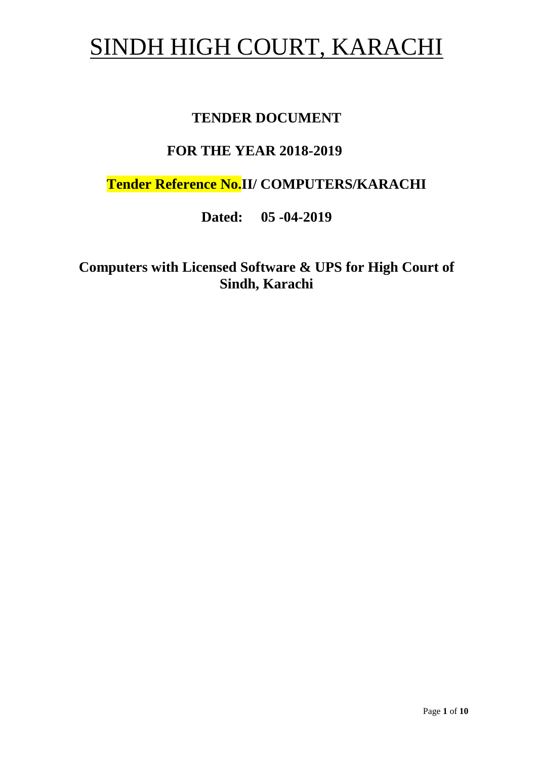# SINDH HIGH COURT, KARACHI

# **TENDER DOCUMENT**

# **FOR THE YEAR 2018-2019**

**Tender Reference No.II/ COMPUTERS/KARACHI**

**Dated: 05 -04-2019**

**Computers with Licensed Software & UPS for High Court of Sindh, Karachi**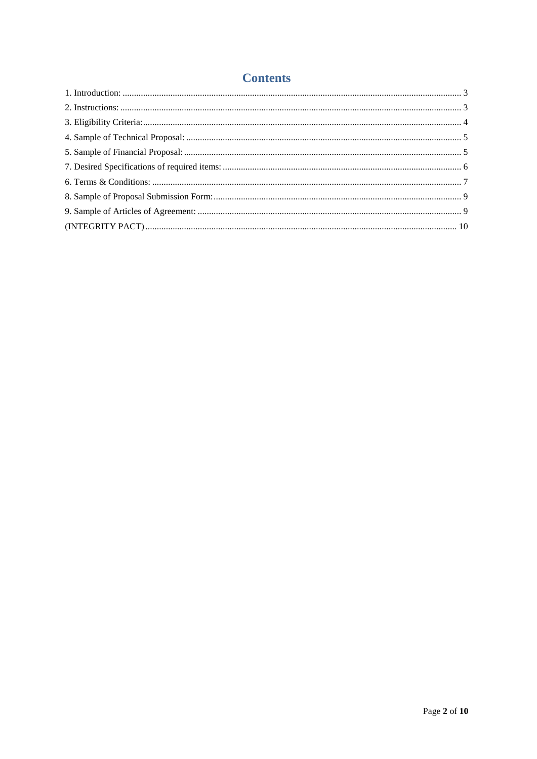## **Contents**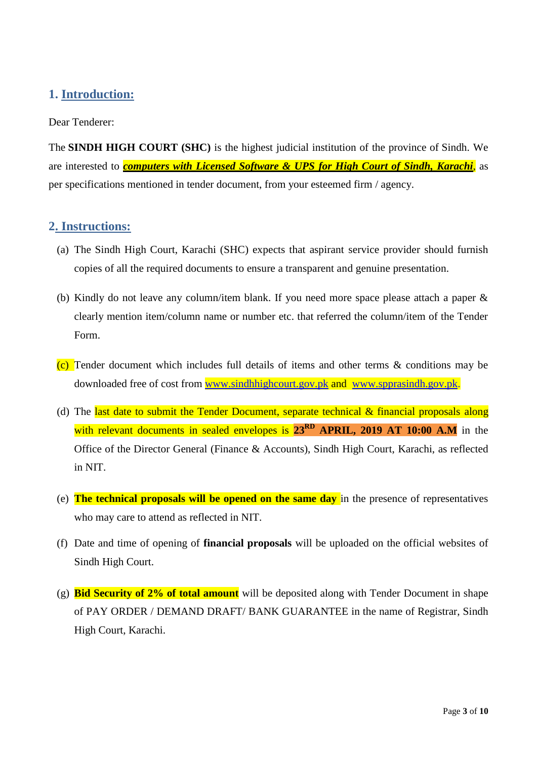## <span id="page-2-0"></span>**1. Introduction:**

#### Dear Tenderer:

The **SINDH HIGH COURT (SHC)** is the highest judicial institution of the province of [Sindh.](https://en.wikipedia.org/wiki/Sindh) We are interested to *computers with Licensed Software & UPS for High Court of Sindh, Karachi*, as per specifications mentioned in tender document, from your esteemed firm / agency.

#### <span id="page-2-1"></span>**2. Instructions:**

- (a) The Sindh High Court, Karachi (SHC) expects that aspirant service provider should furnish copies of all the required documents to ensure a transparent and genuine presentation.
- (b) Kindly do not leave any column/item blank. If you need more space please attach a paper & clearly mention item/column name or number etc. that referred the column/item of the Tender Form.
- (c) Tender document which includes full details of items and other terms  $\&$  conditions may be downloaded free of cost from [www.sindhhighcourt.gov.pk](http://www.sindhhighcourt.gov.pk/) and [www.spprasindh.gov.pk.](http://www.spprasindh.gov.pk/)
- (d) The last date to submit the Tender Document, separate technical  $\&$  financial proposals along with relevant documents in sealed envelopes is 23<sup>RD</sup> APRIL, 2019 AT 10:00 A.M in the Office of the Director General (Finance & Accounts), Sindh High Court, Karachi, as reflected in NIT.
- (e) **The technical proposals will be opened on the same day** in the presence of representatives who may care to attend as reflected in NIT.
- (f) Date and time of opening of **financial proposals** will be uploaded on the official websites of Sindh High Court.
- (g) **Bid Security of 2% of total amount** will be deposited along with Tender Document in shape of PAY ORDER / DEMAND DRAFT/ BANK GUARANTEE in the name of Registrar, Sindh High Court, Karachi.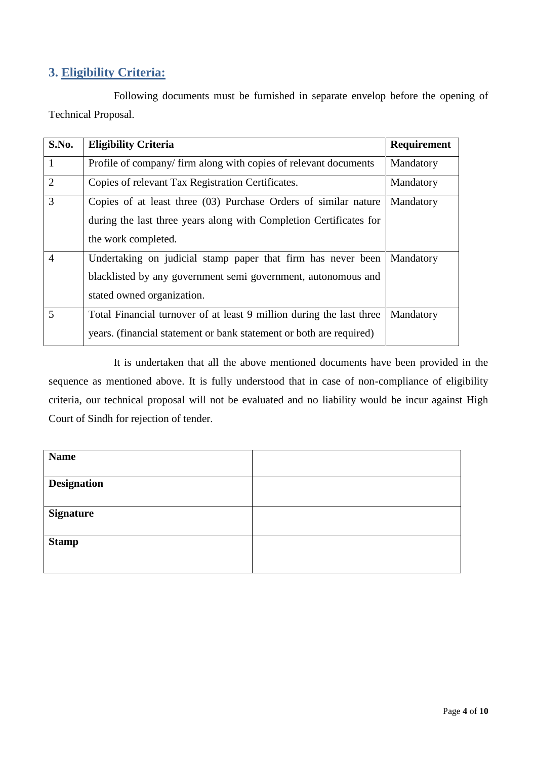## <span id="page-3-0"></span>**3. Eligibility Criteria:**

Following documents must be furnished in separate envelop before the opening of Technical Proposal.

| S.No.          | <b>Eligibility Criteria</b>                                          | Requirement |
|----------------|----------------------------------------------------------------------|-------------|
| $\mathbf{1}$   | Profile of company/firm along with copies of relevant documents      | Mandatory   |
| $\overline{2}$ | Copies of relevant Tax Registration Certificates.                    | Mandatory   |
| 3              | Copies of at least three (03) Purchase Orders of similar nature      | Mandatory   |
|                | during the last three years along with Completion Certificates for   |             |
|                | the work completed.                                                  |             |
| $\overline{4}$ | Undertaking on judicial stamp paper that firm has never been         | Mandatory   |
|                | blacklisted by any government semi government, autonomous and        |             |
|                | stated owned organization.                                           |             |
| 5              | Total Financial turnover of at least 9 million during the last three | Mandatory   |
|                | years. (financial statement or bank statement or both are required)  |             |

It is undertaken that all the above mentioned documents have been provided in the sequence as mentioned above. It is fully understood that in case of non-compliance of eligibility criteria, our technical proposal will not be evaluated and no liability would be incur against High Court of Sindh for rejection of tender.

| <b>Name</b>        |  |
|--------------------|--|
| <b>Designation</b> |  |
| <b>Signature</b>   |  |
| <b>Stamp</b>       |  |
|                    |  |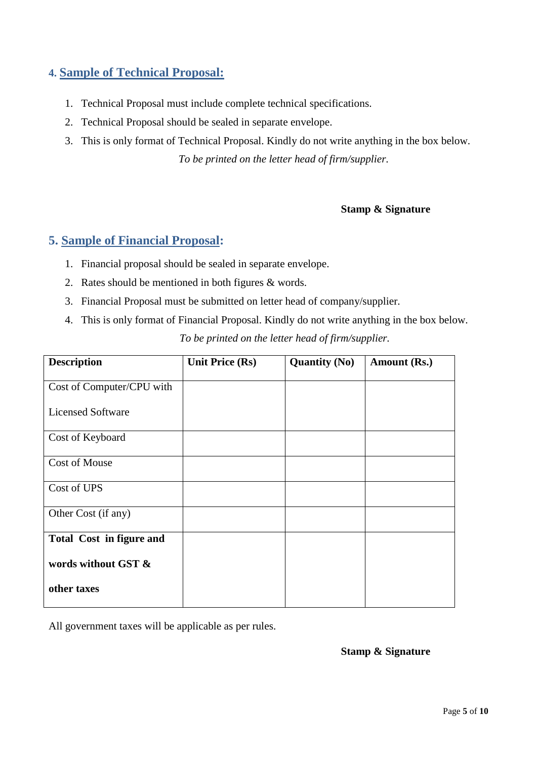## <span id="page-4-0"></span>**4. Sample of Technical Proposal:**

- 1. Technical Proposal must include complete technical specifications.
- 2. Technical Proposal should be sealed in separate envelope.
- 3. This is only format of Technical Proposal. Kindly do not write anything in the box below. *To be printed on the letter head of firm/supplier.*

#### **Stamp & Signature**

### <span id="page-4-1"></span>**5. Sample of Financial Proposal:**

- 1. Financial proposal should be sealed in separate envelope.
- 2. Rates should be mentioned in both figures & words.
- 3. Financial Proposal must be submitted on letter head of company/supplier.
- 4. This is only format of Financial Proposal. Kindly do not write anything in the box below. *To be printed on the letter head of firm/supplier.*

| <b>Description</b>              | <b>Unit Price (Rs)</b> | <b>Quantity (No)</b> | Amount (Rs.) |
|---------------------------------|------------------------|----------------------|--------------|
| Cost of Computer/CPU with       |                        |                      |              |
| <b>Licensed Software</b>        |                        |                      |              |
| Cost of Keyboard                |                        |                      |              |
| <b>Cost of Mouse</b>            |                        |                      |              |
| Cost of UPS                     |                        |                      |              |
| Other Cost (if any)             |                        |                      |              |
| <b>Total Cost in figure and</b> |                        |                      |              |
| words without GST &             |                        |                      |              |
| other taxes                     |                        |                      |              |

All government taxes will be applicable as per rules.

#### **Stamp & Signature**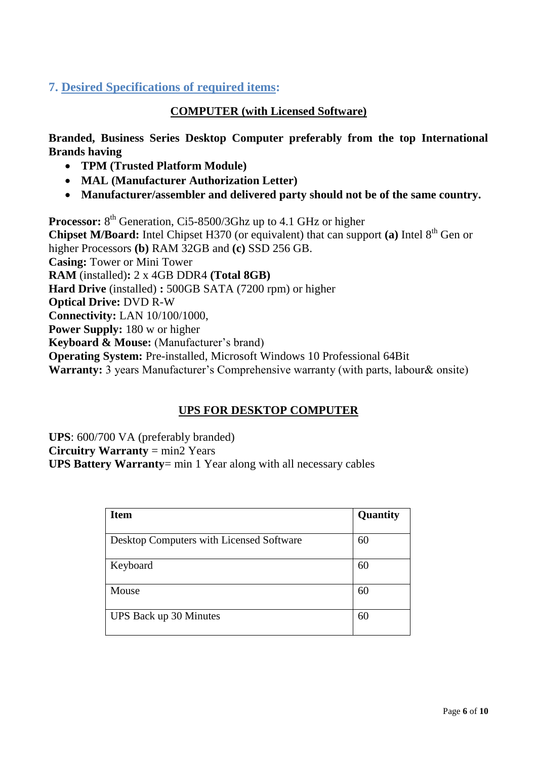## <span id="page-5-0"></span>**7. Desired Specifications of required items:**

#### **COMPUTER (with Licensed Software)**

**Branded, Business Series Desktop Computer preferably from the top International Brands having** 

- **TPM (Trusted Platform Module)**
- **MAL (Manufacturer Authorization Letter)**
- **Manufacturer/assembler and delivered party should not be of the same country.**

**Processor:** 8<sup>th</sup> Generation, Ci5-8500/3Ghz up to 4.1 GHz or higher **Chipset M/Board:** Intel Chipset H370 (or equivalent) that can support (a) Intel 8<sup>th</sup> Gen or higher Processors **(b)** RAM 32GB and **(c)** SSD 256 GB. **Casing:** Tower or Mini Tower **RAM** (installed)**:** 2 x 4GB DDR4 **(Total 8GB) Hard Drive** (installed) **:** 500GB SATA (7200 rpm) or higher **Optical Drive:** DVD R-W **Connectivity:** LAN 10/100/1000, **Power Supply:** 180 w or higher **Keyboard & Mouse:** (Manufacturer's brand) **Operating System:** Pre-installed, Microsoft Windows 10 Professional 64Bit **Warranty:** 3 years Manufacturer's Comprehensive warranty (with parts, labour & onsite)

### **UPS FOR DESKTOP COMPUTER**

**UPS**: 600/700 VA (preferably branded) **Circuitry Warranty** = min2 Years **UPS Battery Warranty**= min 1 Year along with all necessary cables

| <b>Item</b>                              | Quantity |
|------------------------------------------|----------|
| Desktop Computers with Licensed Software | 60       |
| Keyboard                                 | 60       |
| Mouse                                    | 60       |
| UPS Back up 30 Minutes                   | 60       |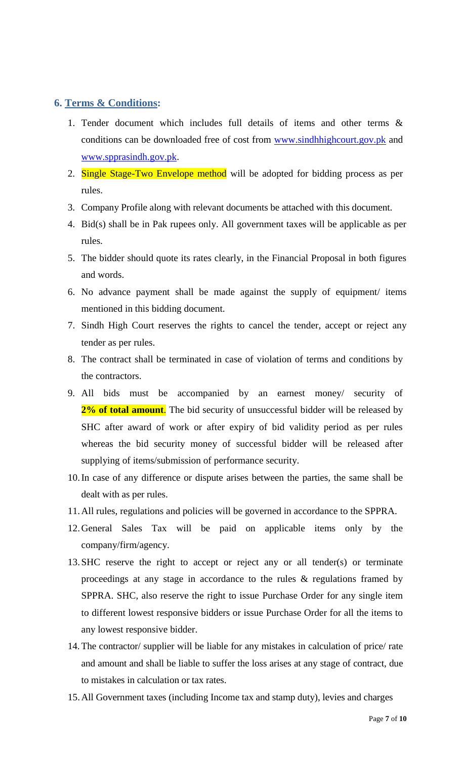## <span id="page-6-0"></span>**6. Terms & Conditions:**

- 1. Tender document which includes full details of items and other terms & conditions can be downloaded free of cost from [www.sindhhighcourt.gov.pk](http://www.sindhhighcourt.gov.pk/) and [www.spprasindh.gov.pk.](http://www.spprasindh.gov.pk/)
- 2. Single Stage-Two Envelope method will be adopted for bidding process as per rules.
- 3. Company Profile along with relevant documents be attached with this document.
- 4. Bid(s) shall be in Pak rupees only. All government taxes will be applicable as per rules.
- 5. The bidder should quote its rates clearly, in the Financial Proposal in both figures and words.
- 6. No advance payment shall be made against the supply of equipment/ items mentioned in this bidding document.
- 7. Sindh High Court reserves the rights to cancel the tender, accept or reject any tender as per rules.
- 8. The contract shall be terminated in case of violation of terms and conditions by the contractors.
- 9. All bids must be accompanied by an earnest money/ security of 2% of total amount. The bid security of unsuccessful bidder will be released by SHC after award of work or after expiry of bid validity period as per rules whereas the bid security money of successful bidder will be released after supplying of items/submission of performance security.
- 10.In case of any difference or dispute arises between the parties, the same shall be dealt with as per rules.
- 11.All rules, regulations and policies will be governed in accordance to the SPPRA.
- 12.General Sales Tax will be paid on applicable items only by the company/firm/agency.
- 13.SHC reserve the right to accept or reject any or all tender(s) or terminate proceedings at any stage in accordance to the rules & regulations framed by SPPRA. SHC, also reserve the right to issue Purchase Order for any single item to different lowest responsive bidders or issue Purchase Order for all the items to any lowest responsive bidder.
- 14. The contractor/ supplier will be liable for any mistakes in calculation of price/ rate and amount and shall be liable to suffer the loss arises at any stage of contract, due to mistakes in calculation or tax rates.
- 15.All Government taxes (including Income tax and stamp duty), levies and charges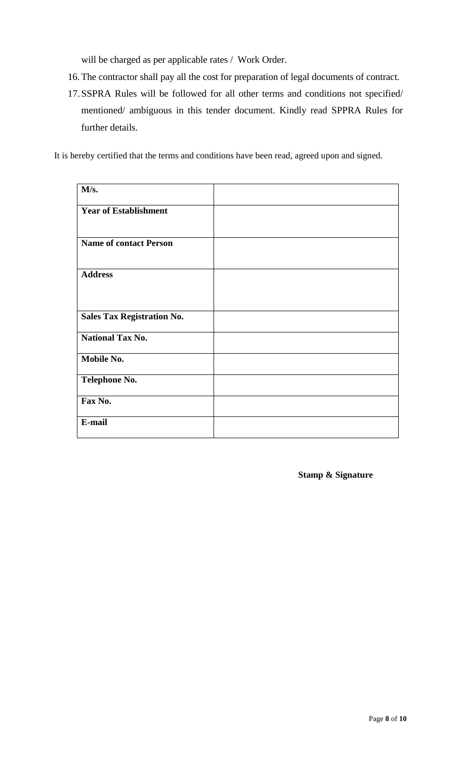will be charged as per applicable rates / Work Order.

- 16. The contractor shall pay all the cost for preparation of legal documents of contract.
- 17.SSPRA Rules will be followed for all other terms and conditions not specified/ mentioned/ ambiguous in this tender document. Kindly read SPPRA Rules for further details.

It is hereby certified that the terms and conditions have been read, agreed upon and signed.

| M/s.                              |  |
|-----------------------------------|--|
| <b>Year of Establishment</b>      |  |
| <b>Name of contact Person</b>     |  |
|                                   |  |
| <b>Address</b>                    |  |
|                                   |  |
| <b>Sales Tax Registration No.</b> |  |
| <b>National Tax No.</b>           |  |
| Mobile No.                        |  |
| <b>Telephone No.</b>              |  |
| Fax No.                           |  |
| E-mail                            |  |

**Stamp & Signature**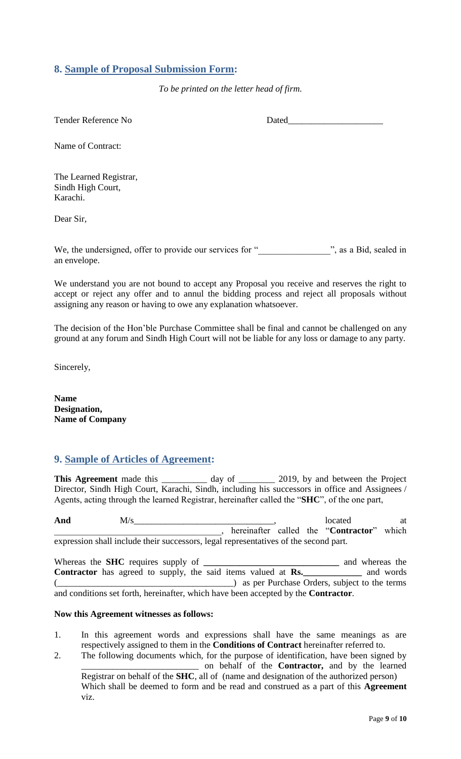## <span id="page-8-0"></span>**8. Sample of Proposal Submission Form:**

*To be printed on the letter head of firm.*

Tender Reference No Dated

Name of Contract:

The Learned Registrar, Sindh High Court, Karachi.

Dear Sir,

We, the undersigned, offer to provide our services for " z, as a Bid, sealed in an envelope.

We understand you are not bound to accept any Proposal you receive and reserves the right to accept or reject any offer and to annul the bidding process and reject all proposals without assigning any reason or having to owe any explanation whatsoever.

<span id="page-8-1"></span>The decision of the Hon"ble Purchase Committee shall be final and cannot be challenged on any ground at any forum and Sindh High Court will not be liable for any loss or damage to any party.

Sincerely,

**Name Designation, Name of Company**

## **9. Sample of Articles of Agreement:**

This Agreement made this \_\_\_\_\_\_\_\_\_\_ day of \_\_\_\_\_\_\_\_ 2019, by and between the Project Director, Sindh High Court, Karachi, Sindh, including his successors in office and Assignees / Agents, acting through the learned Registrar, hereinafter called the "**SHC**", of the one part,

And  $M/s$  at  $M/s$  at  $M/s$  at  $M/s$  at  $M$ \_\_\_\_\_\_\_\_\_\_\_\_\_\_\_\_\_\_\_\_\_\_\_\_\_\_\_\_\_\_\_\_\_\_\_\_\_, hereinafter called the "**Contractor**" which expression shall include their successors, legal representatives of the second part.

Whereas the **SHC** requires supply of **\_\_\_\_\_\_\_\_\_\_\_\_\_\_\_\_\_\_\_\_\_\_\_\_\_\_\_\_\_\_** and whereas the **Contractor** has agreed to supply, the said items valued at **Rs.\_\_\_\_\_\_\_\_\_\_\_\_\_** and words (\_\_\_\_\_\_\_\_\_\_\_\_\_\_\_\_\_\_\_\_\_\_\_\_\_\_\_\_\_\_\_\_\_\_\_\_\_\_\_) as per Purchase Orders, subject to the terms and conditions set forth, hereinafter, which have been accepted by the **Contractor**.

#### **Now this Agreement witnesses as follows:**

- 1. In this agreement words and expressions shall have the same meanings as are respectively assigned to them in the **Conditions of Contract** hereinafter referred to.
- 2. The following documents which, for the purpose of identification, have been signed by \_\_\_\_\_\_\_\_\_\_\_\_\_\_\_\_\_\_\_\_\_\_\_\_\_\_ on behalf of the **Contractor,** and by the learned Registrar on behalf of the **SHC**, all of (name and designation of the authorized person) Which shall be deemed to form and be read and construed as a part of this **Agreement**  viz.